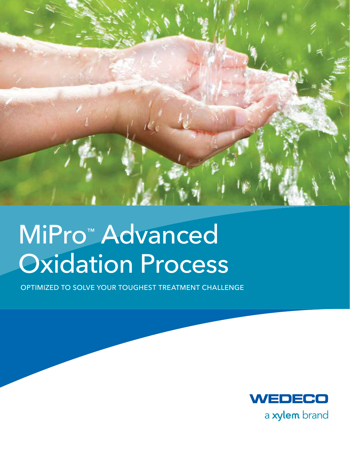

# MiPro™ Advanced Oxidation Process

Optimized to Solve Your Toughest Treatment Challenge

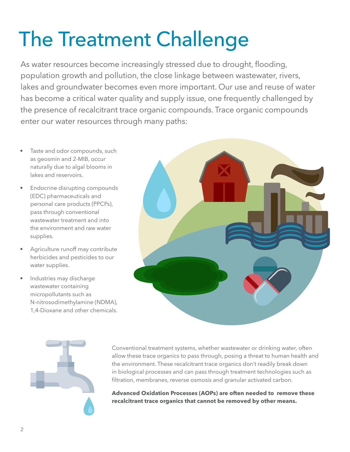# The Treatment Challenge

As water resources become increasingly stressed due to drought, flooding, population growth and pollution, the close linkage between wastewater, rivers, lakes and groundwater becomes even more important. Our use and reuse of water has become a critical water quality and supply issue, one frequently challenged by the presence of recalcitrant trace organic compounds. Trace organic compounds enter our water resources through many paths:

- Taste and odor compounds, such as geosmin and 2-MIB, occur naturally due to algal blooms in lakes and reservoirs.
- Endocrine disrupting compounds (EDC) pharmaceuticals and personal care products (PPCPs), pass through conventional wastewater treatment and into the environment and raw water supplies.
- Agriculture runoff may contribute herbicides and pesticides to our water supplies.
- Industries may discharge wastewater containing micropollutants such as N-nitrosodimethylamine (NDMA), 1,4-Dioxane and other chemicals.





Conventional treatment systems, whether wastewater or drinking water, often allow these trace organics to pass through, posing a threat to human health and the environment. These recalcitrant trace organics don't readily break down in biological processes and can pass through treatment technologies such as filtration, membranes, reverse osmosis and granular activated carbon.

**Advanced Oxidation Processes (AOPs) are often needed to remove these recalcitrant trace organics that cannot be removed by other means.**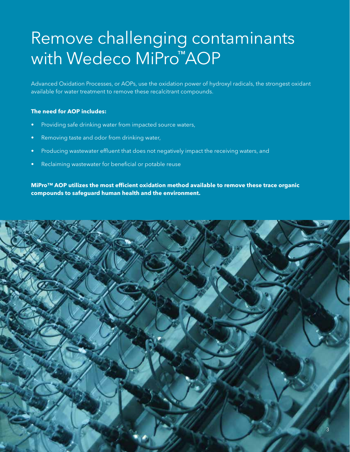## Remove challenging contaminants **with Wedeco MiPro™AOP**

Advanced Oxidation Processes, or AOPs, use the oxidation power of hydroxyl radicals, the strongest oxidant available for water treatment to remove these recalcitrant compounds.

#### **The need for AOP includes:**

- Providing safe drinking water from impacted source waters,
- Removing taste and odor from drinking water,
- Producing wastewater effluent that does not negatively impact the receiving waters, and
- Reclaiming wastewater for beneficial or potable reuse

**MiPro™ AOP utilizes the most efficient oxidation method available to remove these trace organic compounds to safeguard human health and the environment.**

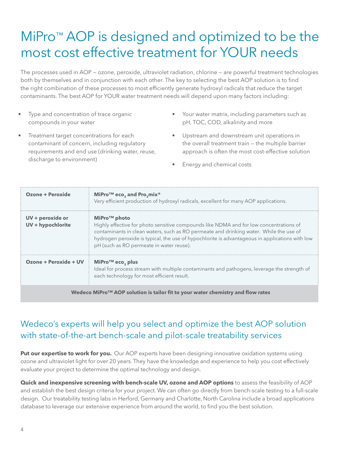### MiPro<sup>™</sup> AOP is designed and optimized to be the most cost effective treatment for YOUR needs

The processes used in AOP — ozone, peroxide, ultraviolet radiation, chlorine — are powerful treatment technologies both by themselves and in conjunction with each other. The key to selecting the best AOP solution is to find the right combination of these processes to most efficiently generate hydroxyl radicals that reduce the target contaminants. The best AOP for YOUR water treatment needs will depend upon many factors including:

- Type and concentration of trace organic compounds in your water
- Treatment target concentrations for each contaminant of concern, including regulatory requirements and end use (drinking water, reuse, discharge to environment)
- Your water matrix, including parameters such as pH, TOC, COD, alkalinity and more
- • Upstream and downstream unit operations in the overall treatment train — the multiple barrier approach is often the most cost-effective solution
- Energy and chemical costs

| Ozone + Peroxide                                                                | MiPro™ eco <sub>3</sub> and Pro <sub>3</sub> mix <sup>®</sup><br>Very efficient production of hydroxyl radicals, excellent for many AOP applications.                                                                                                                                                                                                      |
|---------------------------------------------------------------------------------|------------------------------------------------------------------------------------------------------------------------------------------------------------------------------------------------------------------------------------------------------------------------------------------------------------------------------------------------------------|
| UV + peroxide or<br>UV + hypochlorite                                           | MiPro <sup>™</sup> photo<br>Highly effective for photo sensitive compounds like NDMA and for low concentrations of<br>contaminants in clean waters, such as RO permeate and drinking water. While the use of<br>hydrogen peroxide is typical, the use of hypochlorite is advantageous in applications with low<br>pH (such as RO permeate in water reuse). |
| Ozone + Peroxide + UV                                                           | MiPro <sup>TM</sup> eco, plus<br>Ideal for process stream with multiple contaminants and pathogens, leverage the strength of<br>each technology for most efficient result.                                                                                                                                                                                 |
| Wedeco MiPro™ AOP solution is tailor fit to your water chemistry and flow rates |                                                                                                                                                                                                                                                                                                                                                            |

#### Wedeco's experts will help you select and optimize the best AOP solution with state-of-the-art bench-scale and pilot-scale treatability services

**Put our expertise to work for you.** Our AOP experts have been designing innovative oxidation systems using ozone and ultraviolet light for over 20 years. They have the knowledge and experience to help you cost effectively evaluate your project to determine the optimal technology and design.

**Quick and inexpensive screening with bench-scale UV, ozone and AOP options** to assess the feasibility of AOP and establish the best design criteria for your project. We can often go directly from bench-scale testing to a full-scale design. Our treatability testing labs in Herford, Germany and Charlotte, North Carolina include a broad applications database to leverage our extensive experience from around the world, to find you the best solution.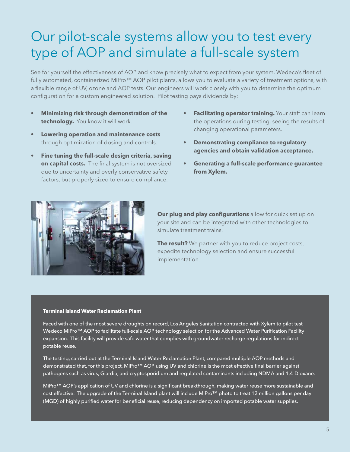### Our pilot-scale systems allow you to test every type of AOP and simulate a full-scale system

See for yourself the effectiveness of AOP and know precisely what to expect from your system. Wedeco's fleet of fully automated, containerized MiPro™ AOP pilot plants, allows you to evaluate a variety of treatment options, with a flexible range of UV, ozone and AOP tests. Our engineers will work closely with you to determine the optimum configuration for a custom engineered solution. Pilot testing pays dividends by:

- **Minimizing risk through demonstration of the technology.** You know it will work.
- **Lowering operation and maintenance costs** through optimization of dosing and controls.
- **Fine tuning the full-scale design criteria, saving on capital costs.** The final system is not oversized due to uncertainty and overly conservative safety factors, but properly sized to ensure compliance.
- **Facilitating operator training.** Your staff can learn the operations during testing, seeing the results of changing operational parameters.
- **• Demonstrating compliance to regulatory agencies and obtain validation acceptance.**
- **Generating a full-scale performance quarantee from Xylem.**



**Our plug and play configurations** allow for quick set up on your site and can be integrated with other technologies to simulate treatment trains.

**The result?** We partner with you to reduce project costs, expedite technology selection and ensure successful implementation.

#### **Terminal Island Water Reclamation Plant**

Faced with one of the most severe droughts on record, Los Angeles Sanitation contracted with Xylem to pilot test Wedeco MiPro™ AOP to facilitate full-scale AOP technology selection for the Advanced Water Purification Facility expansion. This facility will provide safe water that complies with groundwater recharge regulations for indirect potable reuse.

The testing, carried out at the Terminal Island Water Reclamation Plant, compared multiple AOP methods and demonstrated that, for this project, MiPro™ AOP using UV and chlorine is the most effective final barrier against pathogens such as virus, Giardia, and cryptosporidium and regulated contaminants including NDMA and 1,4-Dioxane.

MiPro™ AOP's application of UV and chlorine is a significant breakthrough, making water reuse more sustainable and cost effective. The upgrade of the Terminal Island plant will include MiPro™ photo to treat 12 million gallons per day (MGD) of highly purified water for beneficial reuse, reducing dependency on imported potable water supplies.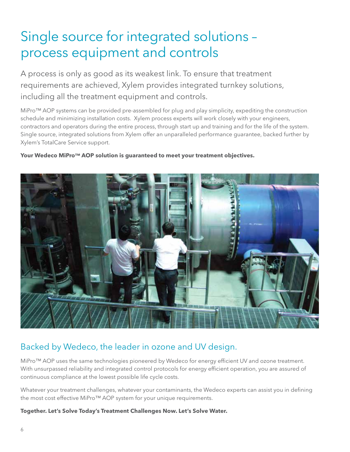## Single source for integrated solutions – process equipment and controls

A process is only as good as its weakest link. To ensure that treatment requirements are achieved, Xylem provides integrated turnkey solutions, including all the treatment equipment and controls.

MiPro™ AOP systems can be provided pre-assembled for plug and play simplicity, expediting the construction schedule and minimizing installation costs. Xylem process experts will work closely with your engineers, contractors and operators during the entire process, through start up and training and for the life of the system. Single source, integrated solutions from Xylem offer an unparalleled performance guarantee, backed further by Xylem's TotalCare Service support.

#### **Your Wedeco MiPro™ AOP solution is guaranteed to meet your treatment objectives.**



### Backed by Wedeco, the leader in ozone and UV design.

MiPro™ AOP uses the same technologies pioneered by Wedeco for energy efficient UV and ozone treatment. With unsurpassed reliability and integrated control protocols for energy efficient operation, you are assured of continuous compliance at the lowest possible life cycle costs.

Whatever your treatment challenges, whatever your contaminants, the Wedeco experts can assist you in defining the most cost effective MiPro<sup>™</sup> AOP system for your unique requirements.

#### **Together. Let's Solve Today's Treatment Challenges Now. Let's Solve Water.**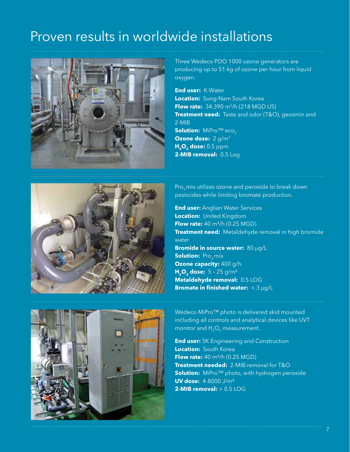### Proven results in worldwide installations



Three Wedeco PDO 1000 ozone generators are producing up to 51 kg of ozone per hour from liquid oxygen.

**End user:** K-Water **Location:** Sung-Nam South Korea **Flow rate:** 34,390 m<sup>3</sup>/h (218 MGD US) **Treatment need:** Taste and odor (T&O), geosmin and 2-MIB **Solution: MiPro™ eco Ozone dose:** 2 g/m3 **H<sub>2</sub>O<sub>2</sub> dose:** 0.5 ppm **2-MIB removal:** 0.5 Log



Pro<sub>2</sub> mix utilizes ozone and peroxide to break down pesticides while limiting bromate production.

**End user: Anglian Water Services Location:** United Kingdom **Flow rate:** 40 m<sup>3</sup>/h (0.25 MGD) **Treatment need:** Metaldehyde removal in high bromide water **Bromide in source water:** 80 µg/L **Solution: Progmix Ozone capacity:** 400 g/h **H<sub>2</sub>O<sub>2</sub> dose:**  $5 - 25$  g/m<sup>3</sup> **Metaldehyde removal:** 0.5 LOG **Bromate in finished water:** < 3 µg/L

Wedeco MiPro™ photo is delivered skid mounted including all controls and analytical devices like UVT monitor and  $H_2O_2$  measurement.

**End user:** SK Engineering and Construction **Location:** South Korea **Flow rate:** 40 m<sup>3</sup>/h (0.25 MGD) **Treatment needed:** 2-MIB removal for T&O **Solution:** MiPro™ photo, with hydrogen peroxide **UV dose:** 4-8000 J/m² **2-MIB removal:** > 0.5 LOG